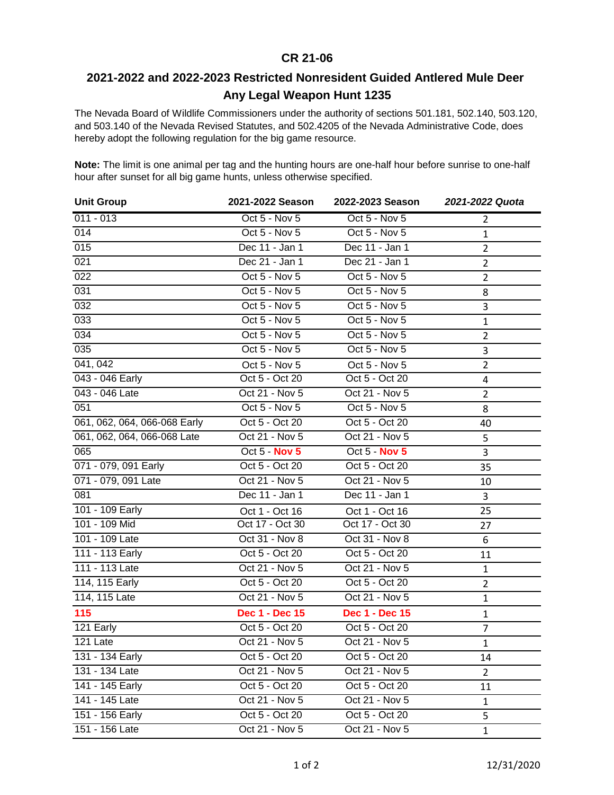## **CR 21-06**

## **2021-2022 and 2022-2023 Restricted Nonresident Guided Antlered Mule Deer Any Legal Weapon Hunt 1235**

The Nevada Board of Wildlife Commissioners under the authority of sections 501.181, 502.140, 503.120, and 503.140 of the Nevada Revised Statutes, and 502.4205 of the Nevada Administrative Code, does hereby adopt the following regulation for the big game resource.

**Note:** The limit is one animal per tag and the hunting hours are one-half hour before sunrise to one-half hour after sunset for all big game hunts, unless otherwise specified.

| <b>Unit Group</b>            | 2021-2022 Season      | 2022-2023 Season      | 2021-2022 Quota |
|------------------------------|-----------------------|-----------------------|-----------------|
| $011 - 013$                  | Oct 5 - Nov 5         | Oct 5 - Nov 5         | $\overline{2}$  |
| 014                          | Oct 5 - Nov 5         | Oct 5 - Nov 5         | $\mathbf{1}$    |
| 015                          | Dec 11 - Jan 1        | Dec 11 - Jan 1        | $\overline{2}$  |
| 021                          | Dec 21 - Jan 1        | Dec 21 - Jan 1        | $\overline{2}$  |
| $\overline{022}$             | Oct 5 - Nov 5         | Oct 5 - Nov 5         | $\overline{2}$  |
| 031                          | Oct 5 - Nov 5         | Oct 5 - Nov 5         | 8               |
| 032                          | Oct 5 - Nov 5         | Oct 5 - Nov 5         | 3               |
| 033                          | Oct 5 - Nov 5         | Oct 5 - Nov 5         | $\mathbf{1}$    |
| $\overline{034}$             | Oct 5 - Nov 5         | Oct 5 - Nov 5         | $\overline{2}$  |
| 035                          | Oct 5 - Nov 5         | Oct 5 - Nov 5         | 3               |
| 041, 042                     | Oct 5 - Nov 5         | Oct 5 - Nov 5         | $\overline{2}$  |
| 043 - 046 Early              | Oct 5 - Oct 20        | Oct 5 - Oct 20        | $\overline{4}$  |
| 043 - 046 Late               | Oct 21 - Nov 5        | Oct 21 - Nov 5        | $\overline{2}$  |
| 051                          | Oct 5 - Nov 5         | Oct 5 - Nov 5         | 8               |
| 061, 062, 064, 066-068 Early | Oct 5 - Oct 20        | Oct 5 - Oct 20        | 40              |
| 061, 062, 064, 066-068 Late  | Oct 21 - Nov 5        | Oct 21 - Nov 5        | 5               |
| 065                          | Oct 5 - Nov 5         | <b>Oct 5 - Nov 5</b>  | 3               |
| 071 - 079, 091 Early         | Oct 5 - Oct 20        | Oct 5 - Oct 20        | 35              |
| 071 - 079, 091 Late          | Oct 21 - Nov 5        | Oct 21 - Nov 5        | 10              |
| 081                          | Dec 11 - Jan 1        | Dec 11 - Jan 1        | 3               |
| 101 - 109 Early              | Oct 1 - Oct 16        | Oct 1 - Oct 16        | 25              |
| 101 - 109 Mid                | Oct 17 - Oct 30       | Oct 17 - Oct 30       | 27              |
| 101 - 109 Late               | Oct 31 - Nov 8        | Oct 31 - Nov 8        | 6               |
| 111 - 113 Early              | Oct 5 - Oct 20        | Oct 5 - Oct 20        | 11              |
| 111 - 113 Late               | Oct 21 - Nov 5        | Oct 21 - Nov 5        | $\mathbf{1}$    |
| 114, 115 Early               | Oct 5 - Oct 20        | Oct 5 - Oct 20        | $\overline{2}$  |
| 114, 115 Late                | Oct 21 - Nov 5        | Oct 21 - Nov 5        | $\mathbf{1}$    |
| 115                          | <b>Dec 1 - Dec 15</b> | <b>Dec 1 - Dec 15</b> | $\mathbf{1}$    |
| 121 Early                    | Oct 5 - Oct 20        | Oct 5 - Oct 20        | $\overline{7}$  |
| 121 Late                     | Oct 21 - Nov 5        | Oct 21 - Nov 5        | $\mathbf{1}$    |
| 131 - 134 Early              | Oct 5 - Oct 20        | Oct 5 - Oct 20        | 14              |
| 131 - 134 Late               | Oct 21 - Nov 5        | Oct 21 - Nov 5        | $\overline{2}$  |
| 141 - 145 Early              | Oct 5 - Oct 20        | Oct 5 - Oct 20        | 11              |
| 141 - 145 Late               | Oct 21 - Nov 5        | Oct 21 - Nov 5        | $\mathbf{1}$    |
| 151 - 156 Early              | Oct 5 - Oct 20        | Oct 5 - Oct 20        | 5               |
| 151 - 156 Late               | Oct 21 - Nov 5        | Oct 21 - Nov 5        | $\mathbf{1}$    |